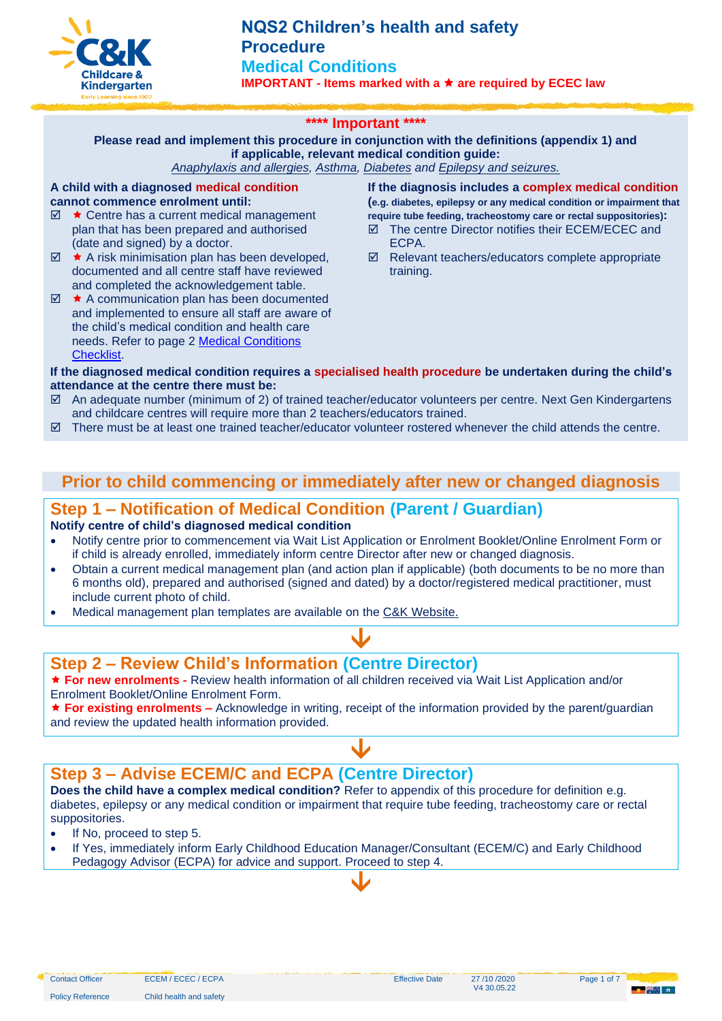

## **\*\*\*\* Important \*\*\*\***

**Please read and implement this procedure in conjunction with the definitions (appendix 1) and if applicable, relevant medical condition guide:**

*[Anaphylaxis and allergies,](https://crecheandkindergarten.sharepoint.com/:b:/r/policies/Documents/Anaphylaxis%20and%20allergies%20Guide.pdf?csf=1&web=1&e=JL4ECx) [Asthma,](https://crecheandkindergarten.sharepoint.com/:b:/r/policies/Documents/Asthma%20Guide.pdf?csf=1&web=1&e=1JqNJT) [Diabetes](https://crecheandkindergarten.sharepoint.com/:b:/r/policies/Documents/Diabetes%20Guide.pdf?csf=1&web=1&e=48CxR6) and [Epilepsy and seizures.](https://crecheandkindergarten.sharepoint.com/:b:/r/policies/Documents/Epilepsy%20and%20seizures%20Guide.pdf?csf=1&web=1&e=3WeoqI)*

### **A child with a diagnosed medical condition cannot commence enrolment until:**

- $\boxtimes$   $\star$  Centre has a current medical management plan that has been prepared and authorised (date and signed) by a doctor.
- $\boxtimes$   $\star$  A risk minimisation plan has been developed, documented and all centre staff have reviewed and completed the acknowledgement table.
- $\boxtimes$   $\star$  A communication plan has been documented and implemented to ensure all staff are aware of the child's medical condition and health care needs. Refer to page 2 [Medical Conditions](https://crecheandkindergarten.sharepoint.com/:b:/r/policies/Documents/Medical%20Condition%20Checklist%20.pdf?csf=1&web=1&e=TL7SVb)  [Checklist.](https://crecheandkindergarten.sharepoint.com/:b:/r/policies/Documents/Medical%20Condition%20Checklist%20.pdf?csf=1&web=1&e=TL7SVb)

**If the diagnosis includes a complex medical condition (e.g. diabetes, epilepsy or any medical condition or impairment that require tube feeding, tracheostomy care or rectal suppositories):**

- The centre Director notifies their ECEM/ECEC and ECPA.
- $\boxtimes$  Relevant teachers/educators complete appropriate training.

### **If the diagnosed medical condition requires a specialised health procedure be undertaken during the child's attendance at the centre there must be:**

- $\boxtimes$  An adequate number (minimum of 2) of trained teacher/educator volunteers per centre. Next Gen Kindergartens and childcare centres will require more than 2 teachers/educators trained.
- $\boxtimes$  There must be at least one trained teacher/educator volunteer rostered whenever the child attends the centre.

## **Prior to child commencing or immediately after new or changed diagnosis**

# **Step 1 – Notification of Medical Condition (Parent / Guardian)**

### **Notify centre of child's diagnosed medical condition**

- Notify centre prior to commencement via Wait List Application or Enrolment Booklet/Online Enrolment Form or if child is already enrolled, immediately inform centre Director after new or changed diagnosis.
- Obtain a current medical management plan (and action plan if applicable) (both documents to be no more than 6 months old), prepared and authorised (signed and dated) by a doctor/registered medical practitioner, must include current photo of child.

 $\blacklozenge$ 

• Medical management plan templates are available on the C&K [Website.](http://www.candk.asn.au/policies)

## **Step 2 – Review Child's Information (Centre Director)**

 **For new enrolments -** Review health information of all children received via Wait List Application and/or Enrolment Booklet/Online Enrolment Form.

★ For existing enrolments – Acknowledge in writing, receipt of the information provided by the parent/guardian and review the updated health information provided.

 $\blacklozenge$ 

## **Step 3 – Advise ECEM/C and ECPA (Centre Director)**

**Does the child have a complex medical condition?** Refer to appendix of this procedure for definition e.g. diabetes, epilepsy or any medical condition or impairment that require tube feeding, tracheostomy care or rectal suppositories.

• If No, proceed to step 5.

Policy Reference Child health and safety

• If Yes, immediately inform Early Childhood Education Manager/Consultant (ECEM/C) and Early Childhood Pedagogy Advisor (ECPA) for advice and support. Proceed to step 4.

 $\blacklozenge$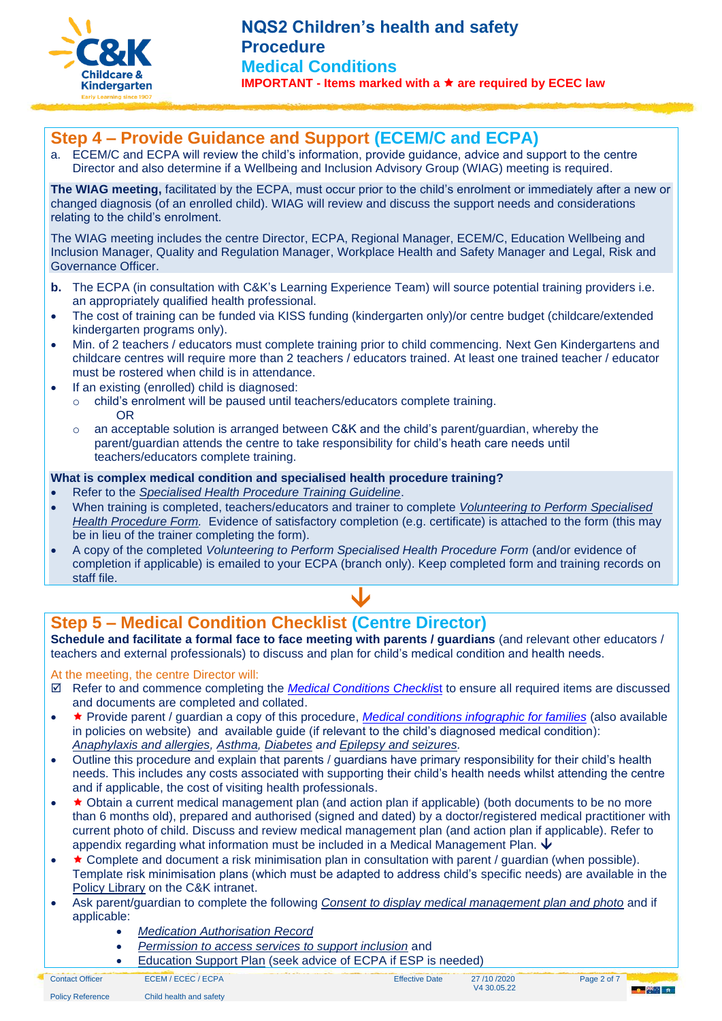

# **Step 4 – Provide Guidance and Support (ECEM/C and ECPA)**

a. ECEM/C and ECPA will review the child's information, provide guidance, advice and support to the centre Director and also determine if a Wellbeing and Inclusion Advisory Group (WIAG) meeting is required.

**The WIAG meeting,** facilitated by the ECPA, must occur prior to the child's enrolment or immediately after a new or changed diagnosis (of an enrolled child). WIAG will review and discuss the support needs and considerations relating to the child's enrolment.

The WIAG meeting includes the centre Director, ECPA, Regional Manager, ECEM/C, Education Wellbeing and Inclusion Manager, Quality and Regulation Manager, Workplace Health and Safety Manager and Legal, Risk and Governance Officer.

- **b.** The ECPA (in consultation with C&K's Learning Experience Team) will source potential training providers i.e. an appropriately qualified health professional.
- The cost of training can be funded via KISS funding (kindergarten only)/or centre budget (childcare/extended kindergarten programs only).
- Min. of 2 teachers / educators must complete training prior to child commencing. Next Gen Kindergartens and childcare centres will require more than 2 teachers / educators trained. At least one trained teacher / educator must be rostered when child is in attendance.
- If an existing (enrolled) child is diagnosed:
	- o child's enrolment will be paused until teachers/educators complete training. OR
	- $\circ$  an acceptable solution is arranged between C&K and the child's parent/guardian, whereby the parent/guardian attends the centre to take responsibility for child's heath care needs until teachers/educators complete training.

#### **What is complex medical condition and specialised health procedure training?**

- Refer to the *[Specialised Health Procedure Training Guideline](https://crecheandkindergarten.sharepoint.com/policies/Documents/Specialised%20Health%20Procedure%20Training%20Guide.pdf)*.
- When training is completed, teachers/educators and trainer to complete *[Volunteering to Perform Specialised](https://crecheandkindergarten.sharepoint.com/:b:/r/policies/Documents/Volunteering%20to%20perform%20a%20specialised%20health%20procedure%20Form.pdf?csf=1&web=1&e=PSgOSn)  [Health Procedure Form.](https://crecheandkindergarten.sharepoint.com/:b:/r/policies/Documents/Volunteering%20to%20perform%20a%20specialised%20health%20procedure%20Form.pdf?csf=1&web=1&e=PSgOSn)* Evidence of satisfactory completion (e.g. certificate) is attached to the form (this may be in lieu of the trainer completing the form).
- A copy of the completed *Volunteering to Perform Specialised Health Procedure Form* (and/or evidence of completion if applicable) is emailed to your [ECPA](mailto:ld@candk.asn.au) (branch only). Keep completed form and training records on staff file.



# **Step 5 – Medical Condition Checklist (Centre Director)**

**Schedule and facilitate a formal face to face meeting with parents / guardians** (and relevant other educators / teachers and external professionals) to discuss and plan for child's medical condition and health needs.

### At the meeting, the centre Director will:

- Refer to and commence completing the *[Medical Conditions Checkli](https://crecheandkindergarten.sharepoint.com/:b:/r/policies/Documents/Medical%20Condition%20Checklist%20.pdf?csf=1&web=1&e=TL7SVb)*st to ensure all required items are discussed and documents are completed and collated.
- **\*** Provide parent / guardian a copy of this procedure, *[Medical conditions infographic for families](https://crecheandkindergarten.sharepoint.com/:b:/r/policies/Documents/Medical%20Conditions%20Infographic%20for%20families.pdf?csf=1&web=1&e=uA7ACM)* (also available in policies on website) and available guide (if relevant to the child's diagnosed medical condition): *[Anaphylaxis and allergies,](https://crecheandkindergarten.sharepoint.com/:b:/r/policies/Documents/Anaphylaxis%20and%20allergies%20Guide.pdf?csf=1&web=1&e=JL4ECx) [Asthma,](https://crecheandkindergarten.sharepoint.com/:b:/r/policies/Documents/Asthma%20Guide.pdf?csf=1&web=1&e=1JqNJT) [Diabetes](https://crecheandkindergarten.sharepoint.com/:b:/r/policies/Documents/Diabetes%20Guide.pdf?csf=1&web=1&e=48CxR6) and [Epilepsy and seizures.](https://crecheandkindergarten.sharepoint.com/:b:/r/policies/Documents/Epilepsy%20and%20seizures%20Guide.pdf?csf=1&web=1&e=3WeoqI)*
- Outline this procedure and explain that parents / guardians have primary responsibility for their child's health needs. This includes any costs associated with supporting their child's health needs whilst attending the centre and if applicable, the cost of visiting health professionals.
- $\star$  Obtain a current medical management plan (and action plan if applicable) (both documents to be no more than 6 months old), prepared and authorised (signed and dated) by a doctor/registered medical practitioner with current photo of child. Discuss and review medical management plan (and action plan if applicable). Refer to appendix regarding what information must be included in a Medical Management Plan.  $\bm{\downarrow}$
- **\*** Complete and document a risk minimisation plan in consultation with parent / quardian (when possible). Template risk minimisation plans (which must be adapted to address child's specific needs) are available in the [Policy Library](https://crecheandkindergarten.sharepoint.com/policies/Documents/Forms/All%20Documents%20by%20Policy.aspx?FilterField1=Policy%5Fx0020%5FArea&FilterValue1=Child%20Health%20and%20Safety&FilterType1=Choice&FilterField2=Document%5Fx0020%5FType&FilterValue2=Form&FilterType2=Choice&viewid=9d561879%2Dc39b%2D4fee%2Daa47%2D136a81d1d270) on the C&K intranet.
- Ask parent/guardian to complete the following *[Consent to display medical management plan and photo](https://crecheandkindergarten.sharepoint.com/:b:/r/policies/Documents/Consent%20to%20display%20medical%20management%20plan%20and%20%20photo%20Form.pdf?csf=1&web=1&e=MaLgot)* and if applicable:
	- *Medication [Authorisation Record](https://crecheandkindergarten.sharepoint.com/:b:/r/policies/Documents/Medication%20Authorisation%20Record%20Form.pdf?csf=1&web=1&e=AfbXjr)*
	- *[Permission to access services to support inclusion](https://crecheandkindergarten.sharepoint.com/:b:/r/policies/Documents/Permission%20to%20access%20services%20to%20support%20inclusion%20Form.pdf?csf=1&web=1&e=Qy6CKW)* and
	- **[Education Support Plan](https://crecheandkindergarten.sharepoint.com/:w:/r/policies/Documents/Education%20Support%20Plan%20Form.docx?d=w760a90127ec0435b8e1930e266bf4ef9&csf=1&web=1&e=I7c5oh) (seek advice of ECPA if ESP is needed)**
- Contact Officer ECEM / ECEC / ECPA Effective Date 27 /10 /2020 V4 30.05.22



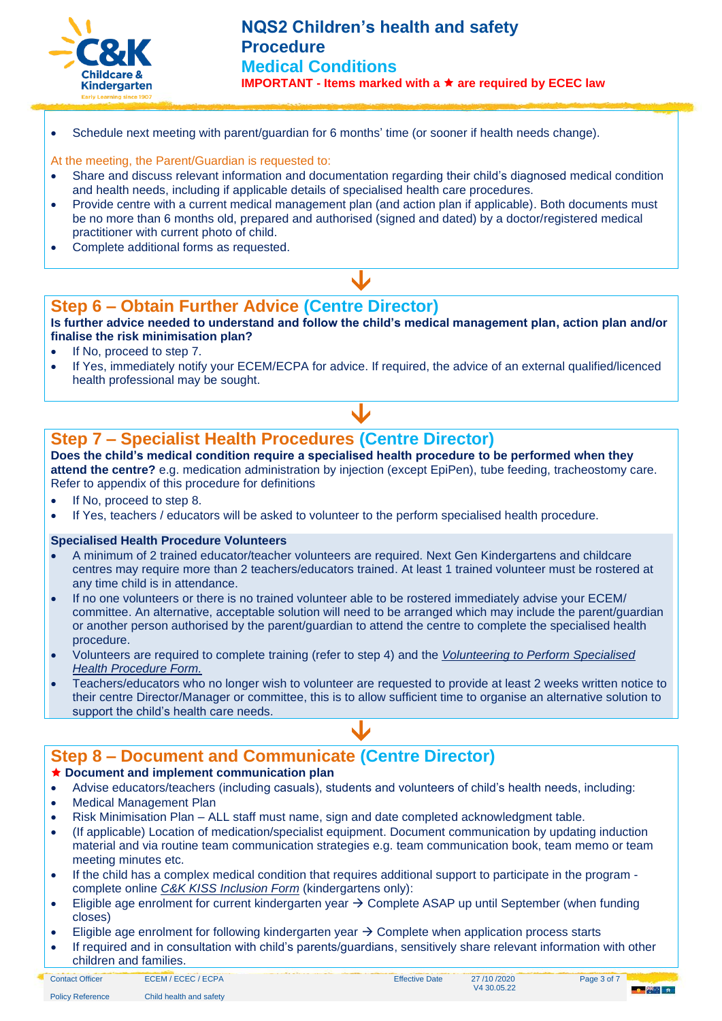

• Schedule next meeting with parent/guardian for 6 months' time (or sooner if health needs change).

## At the meeting, the Parent/Guardian is requested to:

- Share and discuss relevant information and documentation regarding their child's diagnosed medical condition and health needs, including if applicable details of specialised health care procedures.
- Provide centre with a current medical management plan (and action plan if applicable). Both documents must be no more than 6 months old, prepared and authorised (signed and dated) by a doctor/registered medical practitioner with current photo of child.
- Complete additional forms as requested.

# **Step 6 – Obtain Further Advice (Centre Director)**

**Is further advice needed to understand and follow the child's medical management plan, action plan and/or finalise the risk minimisation plan?**

 $\blacklozenge$ 

- If No, proceed to step 7.
- If Yes, immediately notify your ECEM/ECPA for advice. If required, the advice of an external qualified/licenced health professional may be sought.

 $\downarrow$ 

# **Step 7 – Specialist Health Procedures (Centre Director)**

**Does the child's medical condition require a specialised health procedure to be performed when they attend the centre?** e.g. medication administration by injection (except EpiPen), tube feeding, tracheostomy care. Refer to appendix of this procedure for definitions

- If No, proceed to step 8.
- If Yes, teachers / educators will be asked to volunteer to the perform specialised health procedure.

### **Specialised Health Procedure Volunteers**

- A minimum of 2 trained educator/teacher volunteers are required. Next Gen Kindergartens and childcare centres may require more than 2 teachers/educators trained. At least 1 trained volunteer must be rostered at any time child is in attendance.
- If no one volunteers or there is no trained volunteer able to be rostered immediately advise your ECEM/ committee. An alternative, acceptable solution will need to be arranged which may include the parent/guardian or another person authorised by the parent/guardian to attend the centre to complete the specialised health procedure.
- Volunteers are required to complete training (refer to step 4) and the *[Volunteering to Perform Specialised](https://crecheandkindergarten.sharepoint.com/:b:/r/policies/Documents/Volunteering%20to%20perform%20a%20specialised%20health%20procedure%20Form.pdf?csf=1&web=1&e=PSgOSn)  [Health Procedure Form.](https://crecheandkindergarten.sharepoint.com/:b:/r/policies/Documents/Volunteering%20to%20perform%20a%20specialised%20health%20procedure%20Form.pdf?csf=1&web=1&e=PSgOSn)*
- Teachers/educators who no longer wish to volunteer are requested to provide at least 2 weeks written notice to their centre Director/Manager or committee, this is to allow sufficient time to organise an alternative solution to support the child's health care needs.

 $\blacklozenge$ 

# **Step 8 – Document and Communicate (Centre Director)**

### **Document and implement communication plan**

- Advise educators/teachers (including casuals), students and volunteers of child's health needs, including:
- Medical Management Plan
- Risk Minimisation Plan ALL staff must name, sign and date completed acknowledgment table.
- (If applicable) Location of medication/specialist equipment. Document communication by updating induction material and via routine team communication strategies e.g. team communication book, team memo or team meeting minutes etc.
- If the child has a complex medical condition that requires additional support to participate in the program complete online *[C&K KISS Inclusion Form](https://crecheandkindergarten.sharepoint.com/sites/forms/SitePages/KISS-Funding-Dashboard.aspx)* (kindergartens only):
- Eligible age enrolment for current kindergarten year → Complete ASAP up until September (when funding closes)
- Eligible age enrolment for following kindergarten year  $\rightarrow$  Complete when application process starts
- If required and in consultation with child's parents/guardians, sensitively share relevant information with other children and families.

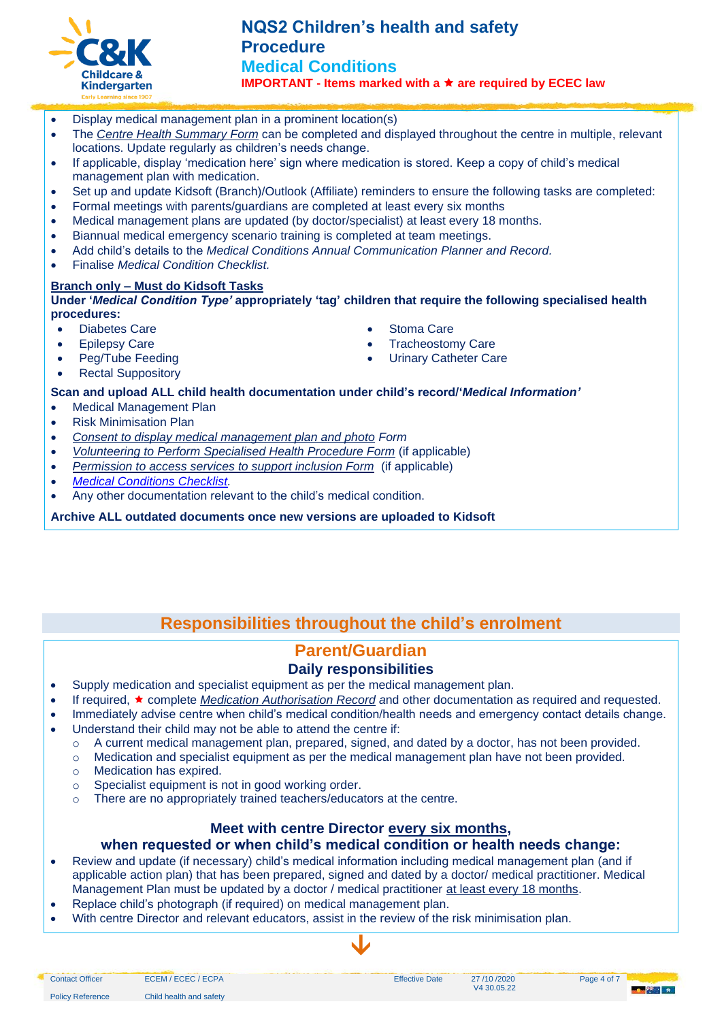

## • Display medical management plan in a prominent location(s)

- The *[Centre Health Summary Form](https://crecheandkindergarten.sharepoint.com/:w:/g/policies/EU910dUy4oxDp11vkc8OLkYBcbKvAEHGPvrWrrxhBV10Lw?e=UHwF6r)* can be completed and displayed throughout the centre in multiple, relevant locations. Update regularly as children's needs change.
- If applicable, display 'medication here' sign where medication is stored. Keep a copy of child's medical management plan with medication.
- Set up and update Kidsoft (Branch)/Outlook (Affiliate) reminders to ensure the following tasks are completed:
- Formal meetings with parents/guardians are completed at least every six months
- Medical management plans are updated (by doctor/specialist) at least every 18 months.
- Biannual medical emergency scenario training is completed at team meetings.
- Add child's details to the *Medical Conditions Annual Communication Planner and Record.*
- Finalise *Medical Condition Checklist.*

## **Branch only – Must do Kidsoft Tasks**

**Under '***Medical Condition Type'* **appropriately 'tag' children that require the following specialised health procedures:**

- Diabetes Care
- Epilepsy Care
- Peg/Tube Feeding
- Rectal Suppository
- Stoma Care
- Tracheostomy Care
- Urinary Catheter Care

#### **Scan and upload ALL child health documentation under child's record/'***Medical Information'*

- Medical Management Plan
- Risk Minimisation Plan
- *[Consent to display medical management plan and photo](https://crecheandkindergarten.sharepoint.com/:b:/r/policies/Documents/Consent%20to%20display%20medical%20management%20plan%20and%20%20photo%20Form.pdf?csf=1&web=1&e=MaLgot) Form*
- *[Volunteering to Perform Specialised Health Procedure Form](https://crecheandkindergarten.sharepoint.com/:b:/r/policies/Documents/Volunteering%20to%20perform%20a%20specialised%20health%20procedure%20Form.pdf?csf=1&web=1&e=PSgOSn)* (if applicable)
- *[Permission to access services to support inclusion Form](https://crecheandkindergarten.sharepoint.com/:b:/r/policies/Documents/Permission%20to%20access%20services%20to%20support%20inclusion%20Form.pdf?csf=1&web=1&e=Qy6CKW)* (if applicable)
- *[Medical Conditions Checklist.](https://crecheandkindergarten.sharepoint.com/:b:/r/policies/Documents/Medical%20Condition%20Checklist%20.pdf?csf=1&web=1&e=TL7SVb)*
- Any other documentation relevant to the child's medical condition.

**Archive ALL outdated documents once new versions are uploaded to Kidsoft**

# **Responsibilities throughout the child's enrolment**

# **Parent/Guardian**

## **Daily responsibilities**

- Supply medication and specialist equipment as per the medical management plan.
- If required, complete *[Medication Authorisation Record](https://crecheandkindergarten.sharepoint.com/:b:/r/policies/Documents/Medication%20Authorisation%20Record%20Form.pdf?csf=1&web=1&e=AfbXjr) a*nd other documentation as required and requested.
	- Immediately advise centre when child's medical condition/health needs and emergency contact details change.
- Understand their child may not be able to attend the centre if:
	- o A current medical management plan, prepared, signed, and dated by a doctor, has not been provided.
	- $\circ$  Medication and specialist equipment as per the medical management plan have not been provided.
	- o Medication has expired.
	- o Specialist equipment is not in good working order.
	- o There are no appropriately trained teachers/educators at the centre.

# **Meet with centre Director every six months,**

## **when requested or when child's medical condition or health needs change:**

 $\blacklozenge$ 

- Review and update (if necessary) child's medical information including medical management plan (and if applicable action plan) that has been prepared, signed and dated by a doctor/ medical practitioner. Medical Management Plan must be updated by a doctor / medical practitioner at least every 18 months.
- Replace child's photograph (if required) on medical management plan.
- With centre Director and relevant educators, assist in the review of the risk minimisation plan.

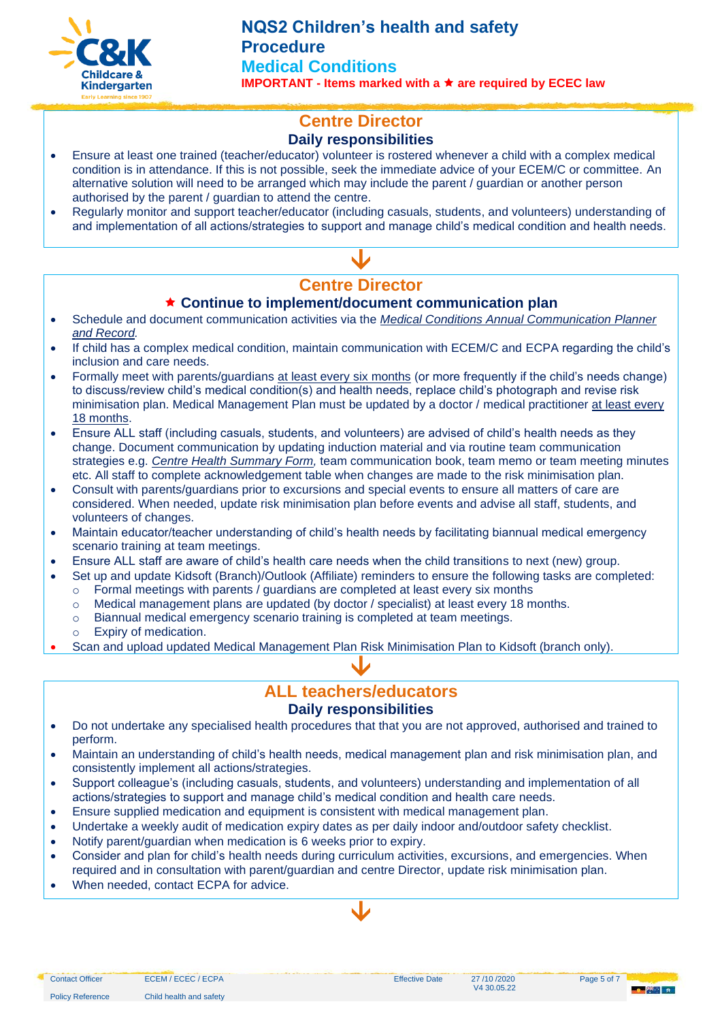

# **Centre Director**

## **Daily responsibilities**

- Ensure at least one trained (teacher/educator) volunteer is rostered whenever a child with a complex medical condition is in attendance. If this is not possible, seek the immediate advice of your ECEM/C or committee. An alternative solution will need to be arranged which may include the parent / guardian or another person authorised by the parent / guardian to attend the centre.
- Regularly monitor and support teacher/educator (including casuals, students, and volunteers) understanding of and implementation of all actions/strategies to support and manage child's medical condition and health needs.

# $\blacklozenge$ **Centre Director**

## **Continue to implement/document communication plan**

- Schedule and document communication activities via the *[Medical Conditions Annual Communication Planner](https://crecheandkindergarten.sharepoint.com/:w:/r/policies/Documents/Medical%20Conditions%20Annual%20Planner.dotx?d=w1a65108f05a443ccb3e7071ab6a8682f&csf=1&web=1&e=JyY5vO)  [and Record.](https://crecheandkindergarten.sharepoint.com/:w:/r/policies/Documents/Medical%20Conditions%20Annual%20Planner.dotx?d=w1a65108f05a443ccb3e7071ab6a8682f&csf=1&web=1&e=JyY5vO)*
- If child has a complex medical condition, maintain communication with ECEM/C and ECPA regarding the child's inclusion and care needs.
- Formally meet with parents/guardians at least every six months (or more frequently if the child's needs change) to discuss/review child's medical condition(s) and health needs, replace child's photograph and revise risk minimisation plan. Medical Management Plan must be updated by a doctor / medical practitioner at least every 18 months.
- Ensure ALL staff (including casuals, students, and volunteers) are advised of child's health needs as they change. Document communication by updating induction material and via routine team communication strategies e.g. *[Centre Health Summary Form,](https://crecheandkindergarten.sharepoint.com/:w:/g/policies/EU910dUy4oxDp11vkc8OLkYBcbKvAEHGPvrWrrxhBV10Lw?e=UHwF6r)* team communication book, team memo or team meeting minutes etc. All staff to complete acknowledgement table when changes are made to the risk minimisation plan.
- Consult with parents/guardians prior to excursions and special events to ensure all matters of care are considered. When needed, update risk minimisation plan before events and advise all staff, students, and volunteers of changes.
- Maintain educator/teacher understanding of child's health needs by facilitating biannual medical emergency scenario training at team meetings.
- Ensure ALL staff are aware of child's health care needs when the child transitions to next (new) group.
- Set up and update Kidsoft (Branch)/Outlook (Affiliate) reminders to ensure the following tasks are completed:  $\circ$  Formal meetings with parents / guardians are completed at least every six months
	- o Medical management plans are updated (by doctor / specialist) at least every 18 months.
	- o Biannual medical emergency scenario training is completed at team meetings.
	- o Expiry of medication.
- Scan and upload updated Medical Management Plan Risk Minimisation Plan to Kidsoft (branch only).

## **ALL teachers/educators Daily responsibilities**

 $\blacklozenge$ 

- Do not undertake any specialised health procedures that that you are not approved, authorised and trained to perform.
- Maintain an understanding of child's health needs, medical management plan and risk minimisation plan, and consistently implement all actions/strategies.
- Support colleague's (including casuals, students, and volunteers) understanding and implementation of all actions/strategies to support and manage child's medical condition and health care needs.
- Ensure supplied medication and equipment is consistent with medical management plan.
- Undertake a weekly audit of medication expiry dates as per daily indoor and/outdoor safety checklist.
- Notify parent/guardian when medication is 6 weeks prior to expiry.
- Consider and plan for child's health needs during curriculum activities, excursions, and emergencies. When required and in consultation with parent/guardian and centre Director, update risk minimisation plan.

 $\blacklozenge$ 

• When needed, contact ECPA for advice.

Policy Reference Child health and safety

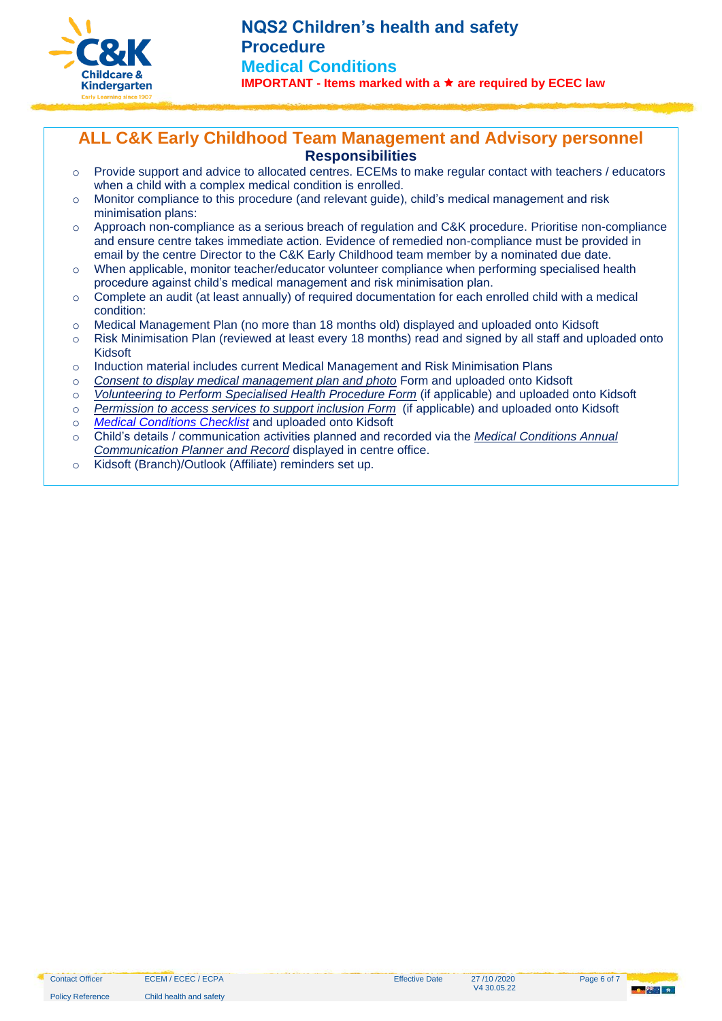

## **ALL C&K Early Childhood Team Management and Advisory personnel Responsibilities**

- o Provide support and advice to allocated centres. ECEMs to make regular contact with teachers / educators when a child with a complex medical condition is enrolled.
- o Monitor compliance to this procedure (and relevant guide), child's medical management and risk minimisation plans:
- $\circ$  Approach non-compliance as a serious breach of regulation and C&K procedure. Prioritise non-compliance and ensure centre takes immediate action. Evidence of remedied non-compliance must be provided in email by the centre Director to the C&K Early Childhood team member by a nominated due date.
- $\circ$  When applicable, monitor teacher/educator volunteer compliance when performing specialised health procedure against child's medical management and risk minimisation plan.
- $\circ$  Complete an audit (at least annually) of required documentation for each enrolled child with a medical condition:
- o Medical Management Plan (no more than 18 months old) displayed and uploaded onto Kidsoft
- o Risk Minimisation Plan (reviewed at least every 18 months) read and signed by all staff and uploaded onto Kidsoft
- o Induction material includes current Medical Management and Risk Minimisation Plans
- o *[Consent to display medical management plan and photo](https://crecheandkindergarten.sharepoint.com/:b:/r/policies/Documents/Consent%20to%20display%20medical%20management%20plan%20and%20%20photo%20Form.pdf?csf=1&web=1&e=MaLgot)* Form and uploaded onto Kidsoft
- o *[Volunteering to Perform Specialised Health Procedure Form](https://crecheandkindergarten.sharepoint.com/:b:/r/policies/Documents/Volunteering%20to%20perform%20a%20specialised%20health%20procedure%20Form.pdf?csf=1&web=1&e=PSgOSn)* (if applicable) and uploaded onto Kidsoft
- o *[Permission to access services to support inclusion Form](https://crecheandkindergarten.sharepoint.com/:b:/r/policies/Documents/Permission%20to%20access%20services%20to%20support%20inclusion%20Form.pdf?csf=1&web=1&e=Qy6CKW)* (if applicable) and uploaded onto Kidsoft
- o *[Medical Conditions Checklist](https://crecheandkindergarten.sharepoint.com/:b:/r/policies/Documents/Medical%20Condition%20Checklist%20.pdf?csf=1&web=1&e=TL7SVb)* and uploaded onto Kidsoft
- o Child's details / communication activities planned and recorded via the *[Medical Conditions Annual](https://crecheandkindergarten.sharepoint.com/:w:/r/policies/Documents/Medical%20Conditions%20Annual%20Planner.dotx?d=w1a65108f05a443ccb3e7071ab6a8682f&csf=1&web=1&e=JyY5vO)  [Communication Planner and Record](https://crecheandkindergarten.sharepoint.com/:w:/r/policies/Documents/Medical%20Conditions%20Annual%20Planner.dotx?d=w1a65108f05a443ccb3e7071ab6a8682f&csf=1&web=1&e=JyY5vO)* displayed in centre office.
- o Kidsoft (Branch)/Outlook (Affiliate) reminders set up.

Policy Reference Child health and safety